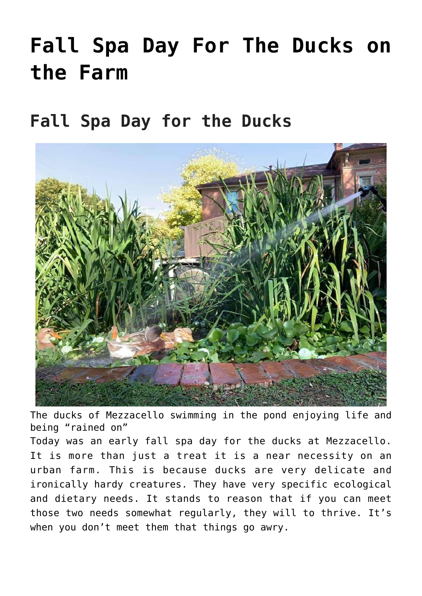# **[Fall Spa Day For The Ducks on](https://mezzacello.org/2021/10/20/fall-spa-day-for-the-ducks-on-the-farm/) [the Farm](https://mezzacello.org/2021/10/20/fall-spa-day-for-the-ducks-on-the-farm/)**

# **Fall Spa Day for the Ducks**



The ducks of Mezzacello swimming in the pond enjoying life and being "rained on"

Today was an early fall spa day for the ducks at Mezzacello. It is more than just a treat it is a near necessity on an urban farm. This is because ducks are very delicate and ironically hardy creatures. They have very specific ecological and dietary needs. It stands to reason that if you can meet those two needs somewhat regularly, they will to thrive. It's when you don't meet them that things go awry.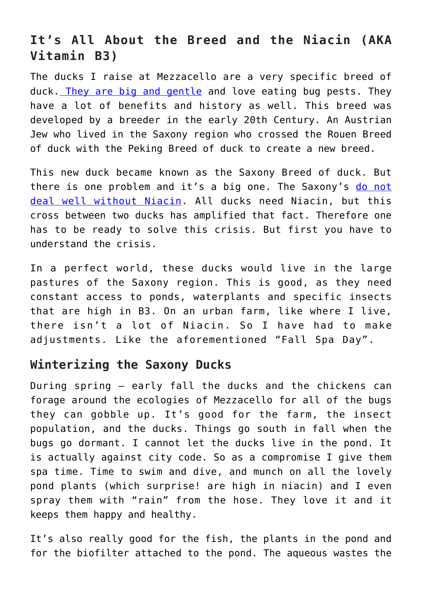## **It's All About the Breed and the Niacin (AKA Vitamin B3)**

The ducks I raise at Mezzacello are a very specific breed of duck. [They are big and gentle](http://mezzacello.org/2019/09/01/ducks-are-garden-ninjas/) and love eating bug pests. They have a lot of benefits and history as well. This breed was developed by a breeder in the early 20th Century. An Austrian Jew who lived in the Saxony region who crossed the Rouen Breed of duck with the Peking Breed of duck to create a new breed.

This new duck became known as the Saxony Breed of duck. But there is one problem and it's a big one. The Saxony's [do not](https://en.wikipedia.org/wiki/Niacin) [deal well without Niacin](https://en.wikipedia.org/wiki/Niacin). All ducks need Niacin, but this cross between two ducks has amplified that fact. Therefore one has to be ready to solve this crisis. But first you have to understand the crisis.

In a perfect world, these ducks would live in the large pastures of the Saxony region. This is good, as they need constant access to ponds, waterplants and specific insects that are high in B3. On an urban farm, like where I live, there isn't a lot of Niacin. So I have had to make adjustments. Like the aforementioned "Fall Spa Day".

#### **Winterizing the Saxony Ducks**

During spring – early fall the ducks and the chickens can forage around the ecologies of Mezzacello for all of the bugs they can gobble up. It's good for the farm, the insect population, and the ducks. Things go south in fall when the bugs go dormant. I cannot let the ducks live in the pond. It is actually against city code. So as a compromise I give them spa time. Time to swim and dive, and munch on all the lovely pond plants (which surprise! are high in niacin) and I even spray them with "rain" from the hose. They love it and it keeps them happy and healthy.

It's also really good for the fish, the plants in the pond and for the biofilter attached to the pond. The aqueous wastes the